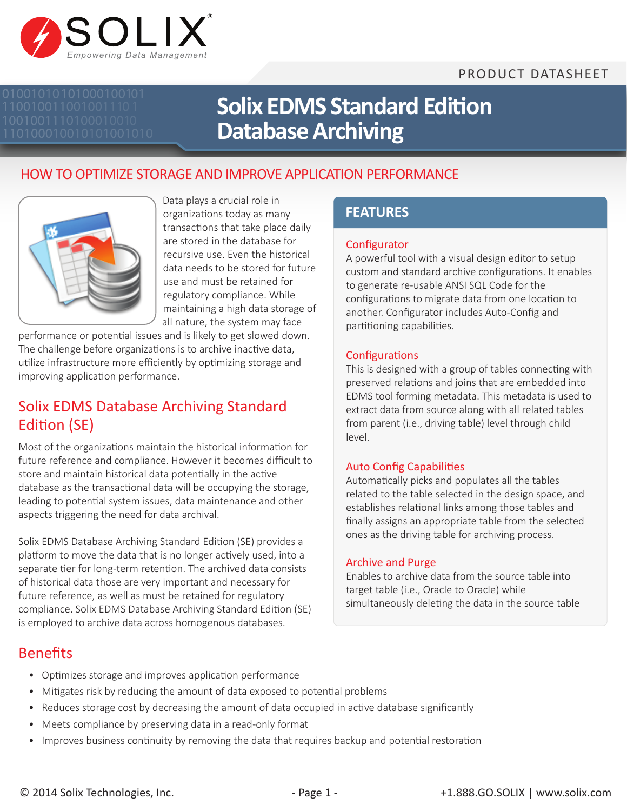# PRODUCT DATASHEET



# **Solix EDMS Standard Edition Database Archiving**

# HOW TO OPTIMIZE STORAGE AND IMPROVE APPLICATION PERFORMANCE



Data plays a crucial role in organizations today as many transactions that take place daily are stored in the database for recursive use. Even the historical data needs to be stored for future use and must be retained for regulatory compliance. While maintaining a high data storage of all nature, the system may face

performance or potential issues and is likely to get slowed down. The challenge before organizations is to archive inactive data, utilize infrastructure more efficiently by optimizing storage and improving application performance.

# Solix EDMS Database Archiving Standard Edition (SE)

Most of the organizations maintain the historical information for future reference and compliance. However it becomes difficult to store and maintain historical data potentially in the active database as the transactional data will be occupying the storage, leading to potential system issues, data maintenance and other aspects triggering the need for data archival.

Solix EDMS Database Archiving Standard Edition (SE) provides a platform to move the data that is no longer actively used, into a separate tier for long-term retention. The archived data consists of historical data those are very important and necessary for future reference, as well as must be retained for regulatory compliance. Solix EDMS Database Archiving Standard Edition (SE) is employed to archive data across homogenous databases.

# **FEATURES**

#### **Configurator**

A powerful tool with a visual design editor to setup custom and standard archive configurations. It enables to generate re-usable ANSI SQL Code for the configurations to migrate data from one location to another. Configurator includes Auto-Config and partitioning capabilities.

#### **Configurations**

This is designed with a group of tables connecting with preserved relations and joins that are embedded into EDMS tool forming metadata. This metadata is used to extract data from source along with all related tables from parent (i.e., driving table) level through child level.

#### Auto Config Capabilities

Automatically picks and populates all the tables related to the table selected in the design space, and establishes relational links among those tables and finally assigns an appropriate table from the selected ones as the driving table for archiving process.

#### Archive and Purge

Enables to archive data from the source table into target table (i.e., Oracle to Oracle) while simultaneously deleting the data in the source table

## Benefits

- Optimizes storage and improves application performance
- Mitigates risk by reducing the amount of data exposed to potential problems
- Reduces storage cost by decreasing the amount of data occupied in active database significantly
- Meets compliance by preserving data in a read-only format
- Improves business continuity by removing the data that requires backup and potential restoration